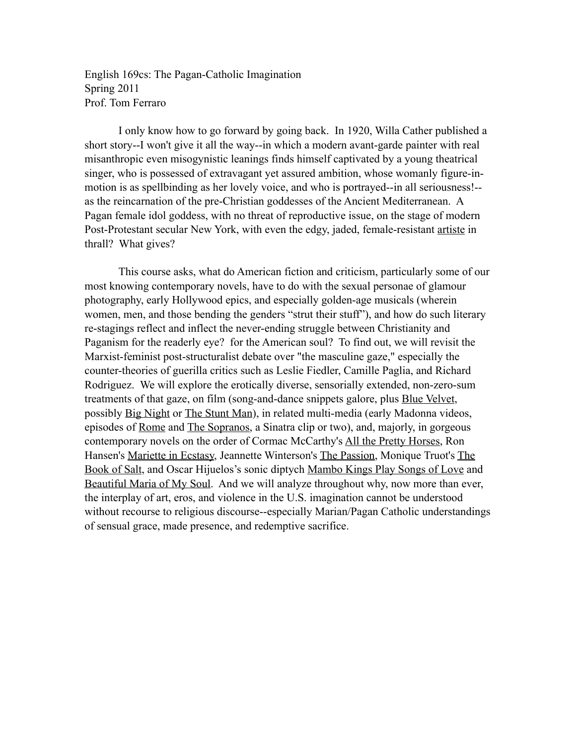English 169cs: The Pagan-Catholic Imagination Spring 2011 Prof. Tom Ferraro

 I only know how to go forward by going back. In 1920, Willa Cather published a short story--I won't give it all the way--in which a modern avant-garde painter with real misanthropic even misogynistic leanings finds himself captivated by a young theatrical singer, who is possessed of extravagant yet assured ambition, whose womanly figure-inmotion is as spellbinding as her lovely voice, and who is portrayed--in all seriousness!- as the reincarnation of the pre-Christian goddesses of the Ancient Mediterranean. A Pagan female idol goddess, with no threat of reproductive issue, on the stage of modern Post-Protestant secular New York, with even the edgy, jaded, female-resistant artiste in thrall? What gives?

This course asks, what do American fiction and criticism, particularly some of our most knowing contemporary novels, have to do with the sexual personae of glamour photography, early Hollywood epics, and especially golden-age musicals (wherein women, men, and those bending the genders "strut their stuff"), and how do such literary re-stagings reflect and inflect the never-ending struggle between Christianity and Paganism for the readerly eye? for the American soul? To find out, we will revisit the Marxist-feminist post-structuralist debate over "the masculine gaze," especially the counter-theories of guerilla critics such as Leslie Fiedler, Camille Paglia, and Richard Rodriguez. We will explore the erotically diverse, sensorially extended, non-zero-sum treatments of that gaze, on film (song-and-dance snippets galore, plus Blue Velvet, possibly Big Night or The Stunt Man), in related multi-media (early Madonna videos, episodes of Rome and The Sopranos, a Sinatra clip or two), and, majorly, in gorgeous contemporary novels on the order of Cormac McCarthy's All the Pretty Horses, Ron Hansen's Mariette in Ecstasy, Jeannette Winterson's The Passion, Monique Truot's The Book of Salt, and Oscar Hijuelos's sonic diptych Mambo Kings Play Songs of Love and Beautiful Maria of My Soul. And we will analyze throughout why, now more than ever, the interplay of art, eros, and violence in the U.S. imagination cannot be understood without recourse to religious discourse--especially Marian/Pagan Catholic understandings of sensual grace, made presence, and redemptive sacrifice.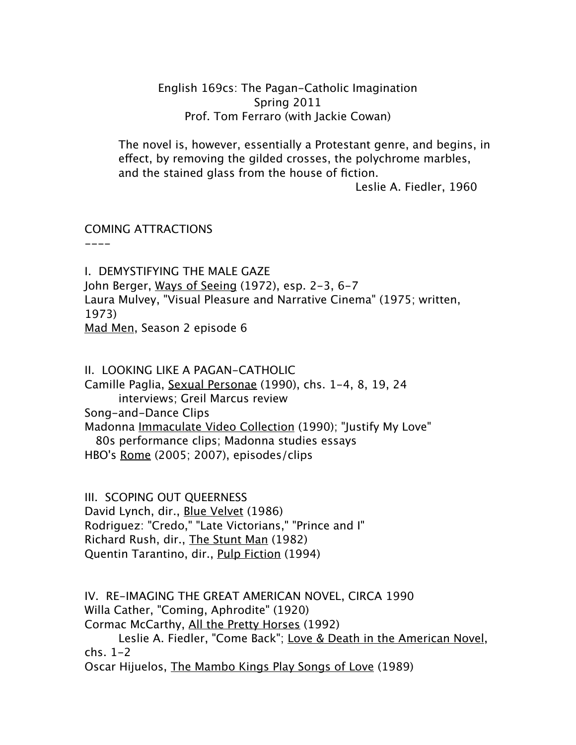## English 169cs: The Pagan-Catholic Imagination Spring 2011 Prof. Tom Ferraro (with Jackie Cowan)

The novel is, however, essentially a Protestant genre, and begins, in effect, by removing the gilded crosses, the polychrome marbles, and the stained glass from the house of fiction.

Leslie A. Fiedler, 1960

### COMING ATTRACTIONS

----

I. DEMYSTIFYING THE MALE GAZE John Berger, Ways of Seeing (1972), esp. 2-3, 6-7 Laura Mulvey, "Visual Pleasure and Narrative Cinema" (1975; written, 1973) Mad Men, Season 2 episode 6

II. LOOKING LIKE A PAGAN-CATHOLIC Camille Paglia, Sexual Personae (1990), chs. 1-4, 8, 19, 24 interviews; Greil Marcus review Song-and-Dance Clips Madonna Immaculate Video Collection (1990); "Justify My Love" 80s performance clips; Madonna studies essays HBO's Rome (2005; 2007), episodes/clips

III. SCOPING OUT QUEERNESS David Lynch, dir., Blue Velvet (1986) Rodriguez: "Credo," "Late Victorians," "Prince and I" Richard Rush, dir., The Stunt Man (1982) Quentin Tarantino, dir., Pulp Fiction (1994)

IV. RE-IMAGING THE GREAT AMERICAN NOVEL, CIRCA 1990 Willa Cather, "Coming, Aphrodite" (1920) Cormac McCarthy, All the Pretty Horses (1992) Leslie A. Fiedler, "Come Back"; Love & Death in the American Novel, chs. 1-2 Oscar Hijuelos, The Mambo Kings Play Songs of Love (1989)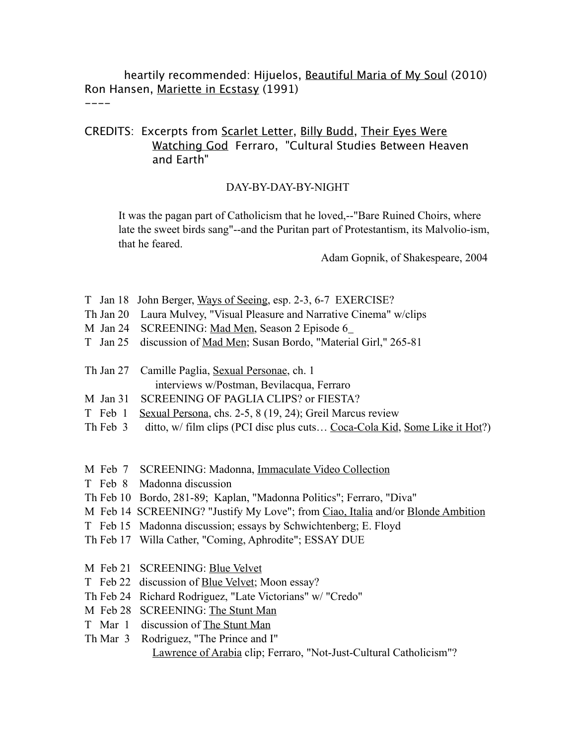heartily recommended: Hijuelos, Beautiful Maria of My Soul (2010) Ron Hansen, Mariette in Ecstasy (1991)

#### $----$

# CREDITS: Excerpts from Scarlet Letter, Billy Budd, Their Eyes Were Watching God Ferraro, "Cultural Studies Between Heaven and Earth"

### DAY-BY-DAY-BY-NIGHT

It was the pagan part of Catholicism that he loved,--"Bare Ruined Choirs, where late the sweet birds sang"--and the Puritan part of Protestantism, its Malvolio-ism, that he feared.

Adam Gopnik, of Shakespeare, 2004

- T Jan 18 John Berger, Ways of Seeing, esp. 2-3, 6-7 EXERCISE?
- Th Jan 20 Laura Mulvey, "Visual Pleasure and Narrative Cinema" w/clips
- M Jan 24 SCREENING: Mad Men, Season 2 Episode 6
- T Jan 25 discussion of Mad Men; Susan Bordo, "Material Girl," 265-81
- Th Jan 27 Camille Paglia, Sexual Personae, ch. 1 interviews w/Postman, Bevilacqua, Ferraro
- M Jan 31 SCREENING OF PAGLIA CLIPS? or FIESTA?
- T Feb 1 Sexual Persona, chs. 2-5, 8 (19, 24); Greil Marcus review
- Th Feb 3 ditto, w/ film clips (PCI disc plus cuts... Coca-Cola Kid, Some Like it Hot?)
- M Feb 7 SCREENING: Madonna, Immaculate Video Collection
- T Feb 8 Madonna discussion
- Th Feb 10 Bordo, 281-89; Kaplan, "Madonna Politics"; Ferraro, "Diva"
- M Feb 14 SCREENING? "Justify My Love"; from Ciao, Italia and/or Blonde Ambition
- T Feb 15 Madonna discussion; essays by Schwichtenberg; E. Floyd
- Th Feb 17 Willa Cather, "Coming, Aphrodite"; ESSAY DUE
- M Feb 21 SCREENING: Blue Velvet
- T Feb 22 discussion of Blue Velvet; Moon essay?
- Th Feb 24 Richard Rodriguez, "Late Victorians" w/ "Credo"
- M Feb 28 SCREENING: The Stunt Man
- T Mar 1 discussion of The Stunt Man
- Th Mar 3 Rodriguez, "The Prince and I" Lawrence of Arabia clip; Ferraro, "Not-Just-Cultural Catholicism"?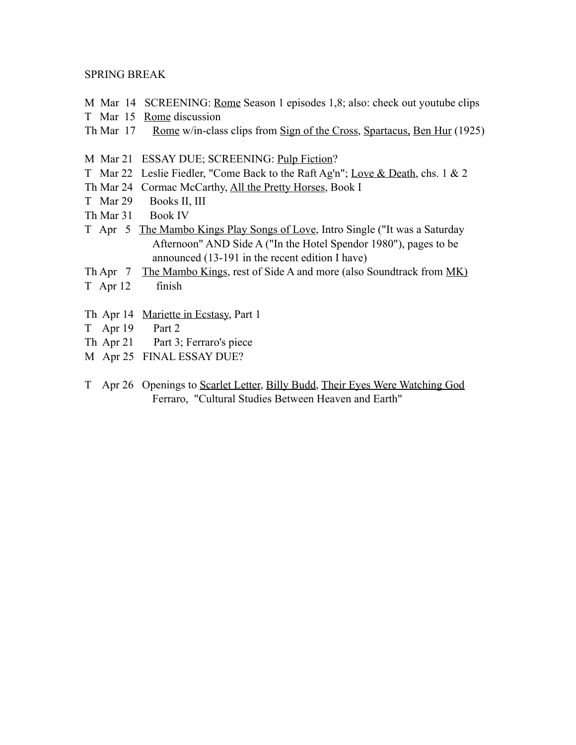#### SPRING BREAK

- M Mar 14 SCREENING: <u>Rome</u> Season 1 episodes 1,8; also: check out youtube clips
- T Mar 15 Rome discussion
- Th Mar 17 Rome w/in-class clips from Sign of the Cross, Spartacus, Ben Hur (1925)
- M Mar 21 ESSAY DUE; SCREENING: Pulp Fiction?
- T Mar 22 Leslie Fiedler, "Come Back to the Raft Ag'n"; Love & Death, chs. 1 & 2
- Th Mar 24 Cormac McCarthy, All the Pretty Horses, Book I
- T Mar 29 Books II, III
- Th Mar 31 Book IV
- T Apr 5 The Mambo Kings Play Songs of Love, Intro Single ("It was a Saturday Afternoon" AND Side A ("In the Hotel Spendor 1980"), pages to be announced (13-191 in the recent edition I have)
- Th Apr 7 The Mambo Kings, rest of Side A and more (also Soundtrack from MK)
- T Apr 12 finish
- Th Apr 14 Mariette in Ecstasy, Part 1
- T Apr 19 Part 2
- Th Apr 21 Part 3; Ferraro's piece
- M Apr 25 FINAL ESSAY DUE?
- T Apr 26 Openings to Scarlet Letter, Billy Budd, Their Eyes Were Watching God Ferraro, "Cultural Studies Between Heaven and Earth"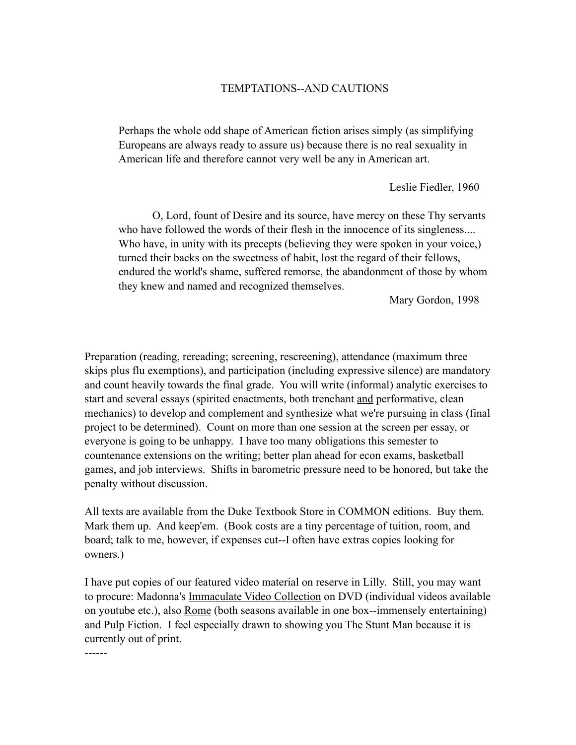### TEMPTATIONS--AND CAUTIONS

Perhaps the whole odd shape of American fiction arises simply (as simplifying Europeans are always ready to assure us) because there is no real sexuality in American life and therefore cannot very well be any in American art.

Leslie Fiedler, 1960

 O, Lord, fount of Desire and its source, have mercy on these Thy servants who have followed the words of their flesh in the innocence of its singleness.... Who have, in unity with its precepts (believing they were spoken in your voice,) turned their backs on the sweetness of habit, lost the regard of their fellows, endured the world's shame, suffered remorse, the abandonment of those by whom they knew and named and recognized themselves.

Mary Gordon, 1998

Preparation (reading, rereading; screening, rescreening), attendance (maximum three skips plus flu exemptions), and participation (including expressive silence) are mandatory and count heavily towards the final grade. You will write (informal) analytic exercises to start and several essays (spirited enactments, both trenchant and performative, clean mechanics) to develop and complement and synthesize what we're pursuing in class (final project to be determined). Count on more than one session at the screen per essay, or everyone is going to be unhappy. I have too many obligations this semester to countenance extensions on the writing; better plan ahead for econ exams, basketball games, and job interviews. Shifts in barometric pressure need to be honored, but take the penalty without discussion.

All texts are available from the Duke Textbook Store in COMMON editions. Buy them. Mark them up. And keep'em. (Book costs are a tiny percentage of tuition, room, and board; talk to me, however, if expenses cut--I often have extras copies looking for owners.)

I have put copies of our featured video material on reserve in Lilly. Still, you may want to procure: Madonna's Immaculate Video Collection on DVD (individual videos available on youtube etc.), also Rome (both seasons available in one box--immensely entertaining) and Pulp Fiction. I feel especially drawn to showing you The Stunt Man because it is currently out of print.

------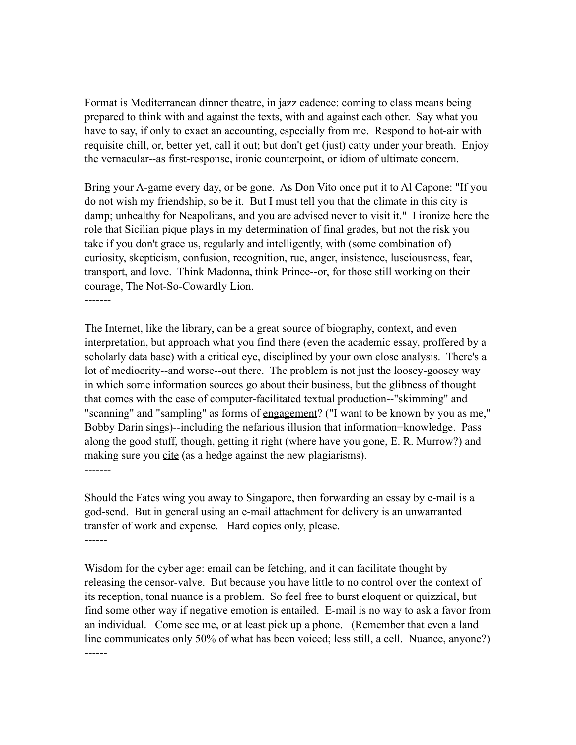Format is Mediterranean dinner theatre, in jazz cadence: coming to class means being prepared to think with and against the texts, with and against each other. Say what you have to say, if only to exact an accounting, especially from me. Respond to hot-air with requisite chill, or, better yet, call it out; but don't get (just) catty under your breath. Enjoy the vernacular--as first-response, ironic counterpoint, or idiom of ultimate concern.

Bring your A-game every day, or be gone. As Don Vito once put it to Al Capone: "If you do not wish my friendship, so be it. But I must tell you that the climate in this city is damp; unhealthy for Neapolitans, and you are advised never to visit it." I ironize here the role that Sicilian pique plays in my determination of final grades, but not the risk you take if you don't grace us, regularly and intelligently, with (some combination of) curiosity, skepticism, confusion, recognition, rue, anger, insistence, lusciousness, fear, transport, and love. Think Madonna, think Prince--or, for those still working on their courage, The Not-So-Cowardly Lion. -------

The Internet, like the library, can be a great source of biography, context, and even interpretation, but approach what you find there (even the academic essay, proffered by a scholarly data base) with a critical eye, disciplined by your own close analysis. There's a lot of mediocrity--and worse--out there. The problem is not just the loosey-goosey way in which some information sources go about their business, but the glibness of thought that comes with the ease of computer-facilitated textual production--"skimming" and "scanning" and "sampling" as forms of <u>engagement</u>? ("I want to be known by you as me," Bobby Darin sings)--including the nefarious illusion that information=knowledge. Pass along the good stuff, though, getting it right (where have you gone, E. R. Murrow?) and making sure you cite (as a hedge against the new plagiarisms).

-------

Should the Fates wing you away to Singapore, then forwarding an essay by e-mail is a god-send. But in general using an e-mail attachment for delivery is an unwarranted transfer of work and expense. Hard copies only, please. ------

Wisdom for the cyber age: email can be fetching, and it can facilitate thought by releasing the censor-valve. But because you have little to no control over the context of its reception, tonal nuance is a problem. So feel free to burst eloquent or quizzical, but find some other way if negative emotion is entailed. E-mail is no way to ask a favor from an individual. Come see me, or at least pick up a phone. (Remember that even a land line communicates only 50% of what has been voiced; less still, a cell. Nuance, anyone?) ------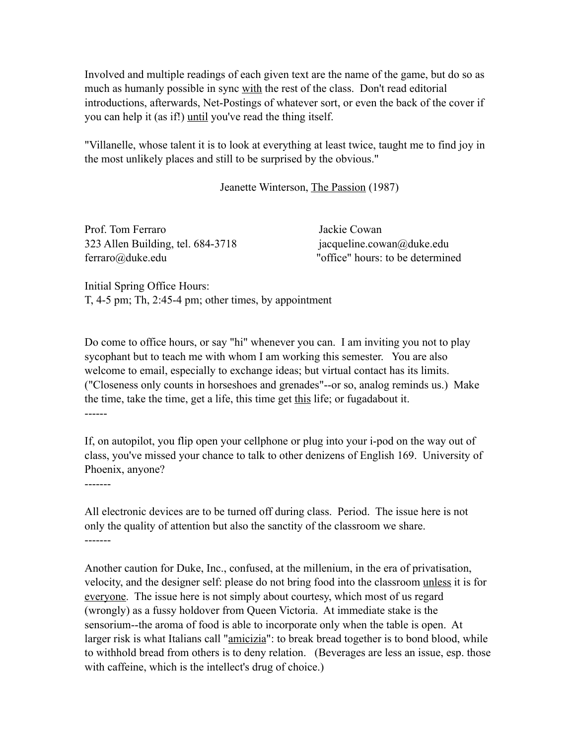Involved and multiple readings of each given text are the name of the game, but do so as much as humanly possible in sync with the rest of the class. Don't read editorial introductions, afterwards, Net-Postings of whatever sort, or even the back of the cover if you can help it (as if!) until you've read the thing itself.

"Villanelle, whose talent it is to look at everything at least twice, taught me to find joy in the most unlikely places and still to be surprised by the obvious."

Jeanette Winterson, The Passion (1987)

Prof. Tom Ferraro Jackie Cowan 323 Allen Building, tel. 684-3718 jacqueline.cowan@duke.edu ferraro@duke.edu "office" hours: to be determined

Initial Spring Office Hours: T, 4-5 pm; Th, 2:45-4 pm; other times, by appointment

Do come to office hours, or say "hi" whenever you can. I am inviting you not to play sycophant but to teach me with whom I am working this semester. You are also welcome to email, especially to exchange ideas; but virtual contact has its limits. ("Closeness only counts in horseshoes and grenades"--or so, analog reminds us.) Make the time, take the time, get a life, this time get this life; or fugadabout it. ------

If, on autopilot, you flip open your cellphone or plug into your i-pod on the way out of class, you've missed your chance to talk to other denizens of English 169. University of Phoenix, anyone?

-------

All electronic devices are to be turned off during class. Period. The issue here is not only the quality of attention but also the sanctity of the classroom we share. -------

Another caution for Duke, Inc., confused, at the millenium, in the era of privatisation, velocity, and the designer self: please do not bring food into the classroom unless it is for everyone. The issue here is not simply about courtesy, which most of us regard (wrongly) as a fussy holdover from Queen Victoria. At immediate stake is the sensorium--the aroma of food is able to incorporate only when the table is open. At larger risk is what Italians call "*amicizia*": to break bread together is to bond blood, while to withhold bread from others is to deny relation. (Beverages are less an issue, esp. those with caffeine, which is the intellect's drug of choice.)